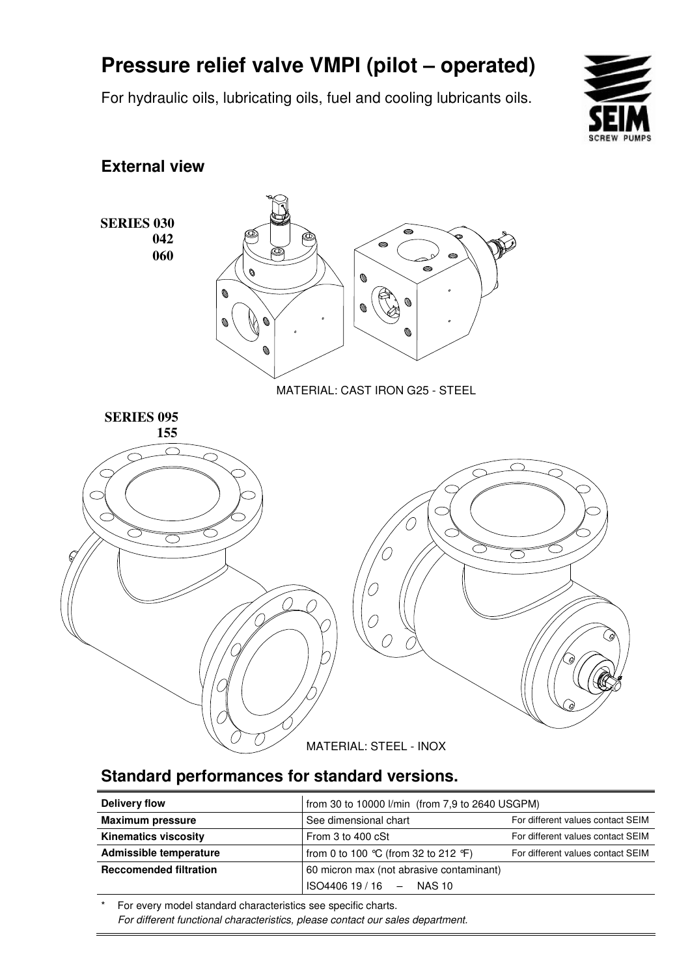# **Pressure relief valve VMPI (pilot – operated)**

For hydraulic oils, lubricating oils, fuel and cooling lubricants oils.



#### **External view**



### **Standard performances for standard versions.**

| Delivery flow                 | from 30 to 10000 l/min (from 7,9 to 2640 USGPM) |                                   |  |  |  |
|-------------------------------|-------------------------------------------------|-----------------------------------|--|--|--|
| <b>Maximum pressure</b>       | See dimensional chart                           | For different values contact SEIM |  |  |  |
| <b>Kinematics viscosity</b>   | From 3 to 400 cSt                               | For different values contact SEIM |  |  |  |
| Admissible temperature        | from 0 to 100 °C (from 32 to 212 °F)            | For different values contact SEIM |  |  |  |
| <b>Reccomended filtration</b> | 60 micron max (not abrasive contaminant)        |                                   |  |  |  |
|                               | $ISO440619/16 - NASA10$                         |                                   |  |  |  |

For every model standard characteristics see specific charts. For different functional characteristics, please contact our sales department.